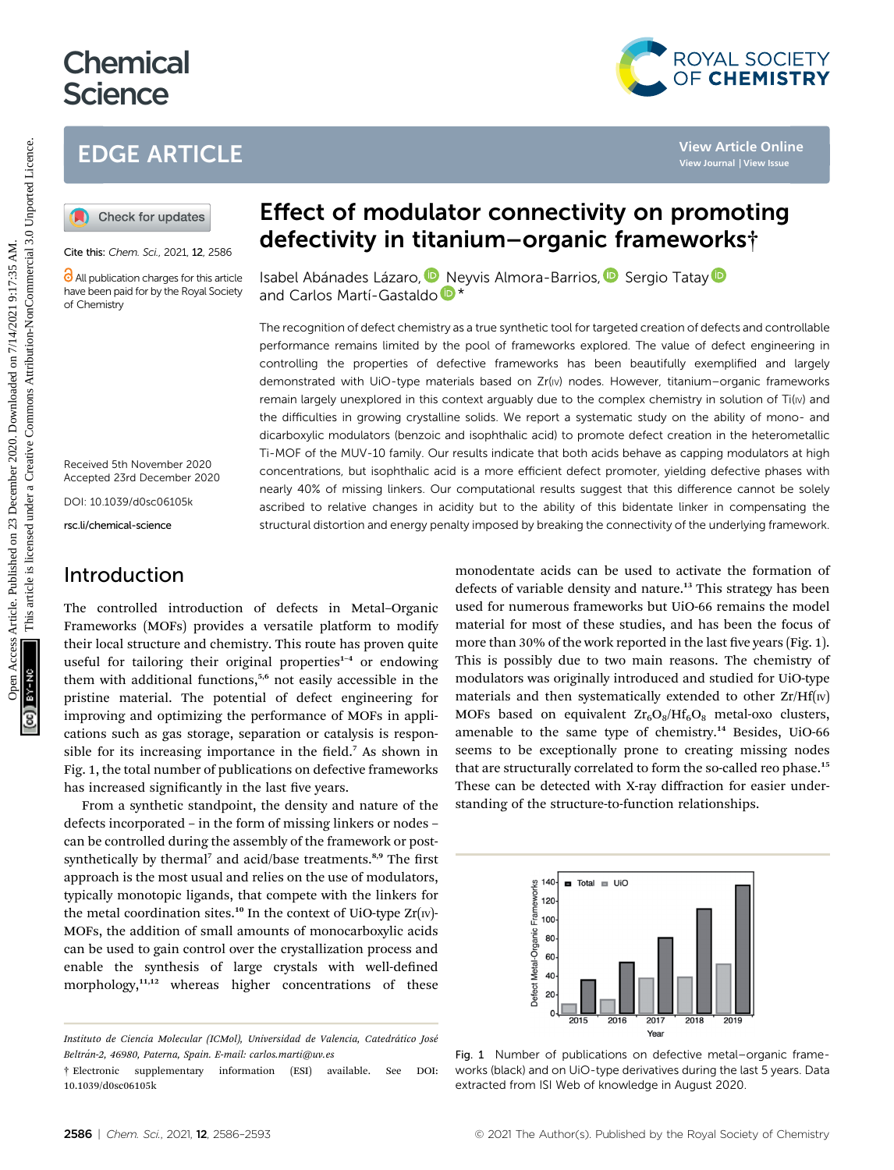# **Chemical Science**

## EDGE ARTICLE

Cite this: Chem. Sci., 2021, 12, 2586

All publication charges for this article have been paid for by the Royal Society of Chemistry

Received 5th November 2020 Accepted 23rd December 2020

DOI: 10.1039/d0sc06105k rsc.li/chemical-science

Introduction

The controlled introduction of defects in Metal–Organic Frameworks (MOFs) provides a versatile platform to modify their local structure and chemistry. This route has proven quite useful for tailoring their original properties<sup>1-4</sup> or endowing them with additional functions,<sup>5,6</sup> not easily accessible in the pristine material. The potential of defect engineering for improving and optimizing the performance of MOFs in applications such as gas storage, separation or catalysis is responsible for its increasing importance in the field.<sup>7</sup> As shown in Fig. 1, the total number of publications on defective frameworks has increased significantly in the last five years.

From a synthetic standpoint, the density and nature of the defects incorporated – in the form of missing linkers or nodes – can be controlled during the assembly of the framework or postsynthetically by thermal<sup>7</sup> and acid/base treatments.<sup>8,9</sup> The first approach is the most usual and relies on the use of modulators, typically monotopic ligands, that compete with the linkers for the metal coordination sites.<sup>10</sup> In the context of UiO-type  $Zr(w)$ -MOFs, the addition of small amounts of monocarboxylic acids can be used to gain control over the crystallization process and enable the synthesis of large crystals with well-defined morphology,<sup>11,12</sup> whereas higher concentrations of these

## Effect of modulator connectivity on promoting defectivity in titanium–organic frameworks†

Isabel Abánades Lázaro, D. [N](http://orcid.org/0000-0003-3203-0047)eyvis Almora-Barrios[,](http://orcid.org/0000-0001-5269-2705) D. Sergio Tata[y](http://orcid.org/0000-0003-0785-866X) and Carlos Martí-Gastaldo  $\mathbb{D}^*$ 

The recognition of defect chemistry as a true synthetic tool for targeted creation of defects and controllable performance remains limited by the pool of frameworks explored. The value of defect engineering in controlling the properties of defective frameworks has been beautifully exemplified and largely demonstrated with UiO-type materials based on Zr(Iv) nodes. However, titanium–organic frameworks remain largely unexplored in this context arguably due to the complex chemistry in solution of Ti(Iv) and the difficulties in growing crystalline solids. We report a systematic study on the ability of mono- and dicarboxylic modulators (benzoic and isophthalic acid) to promote defect creation in the heterometallic Ti-MOF of the MUV-10 family. Our results indicate that both acids behave as capping modulators at high concentrations, but isophthalic acid is a more efficient defect promoter, yielding defective phases with nearly 40% of missing linkers. Our computational results suggest that this difference cannot be solely ascribed to relative changes in acidity but to the ability of this bidentate linker in compensating the structural distortion and energy penalty imposed by breaking the connectivity of the underlying framework. **EDGE ARTICLE**<br> **(a)** Check for updates<br> **EFFECT of modulator connectivity on promoting<br>
<b>CALC ARTICLE**<br>
CHER CONTEXTRENT CONTEXTRENT CONTEXTRENT CONTEXTRENT CONTEXTRENT CONTEXTRENT CONTEXTRENT CONTEXTRENT CONTEXTRENT CON

monodentate acids can be used to activate the formation of defects of variable density and nature.<sup>13</sup> This strategy has been used for numerous frameworks but UiO-66 remains the model material for most of these studies, and has been the focus of more than 30% of the work reported in the last five years (Fig. 1). This is possibly due to two main reasons. The chemistry of modulators was originally introduced and studied for UiO-type materials and then systematically extended to other  $Zr/Hf(w)$ MOFs based on equivalent  $\text{Zr}_6\text{O}_8/\text{Hf}_6\text{O}_8$  metal-oxo clusters, amenable to the same type of chemistry. $14$  Besides, UiO-66 seems to be exceptionally prone to creating missing nodes that are structurally correlated to form the so-called reo phase.<sup>15</sup> These can be detected with X-ray diffraction for easier understanding of the structure-to-function relationships.



Fig. 1 Number of publications on defective metal–organic frameworks (black) and on UiO-type derivatives during the last 5 years. Data extracted from ISI Web of knowledge in August 2020.



Instituto de Ciencia Molecular (ICMol), Universidad de Valencia, Catedrático José Beltrán-2, 46980, Paterna, Spain. E-mail: carlos.marti@uv.es

<sup>†</sup> Electronic supplementary information (ESI) available. See DOI: 10.1039/d0sc06105k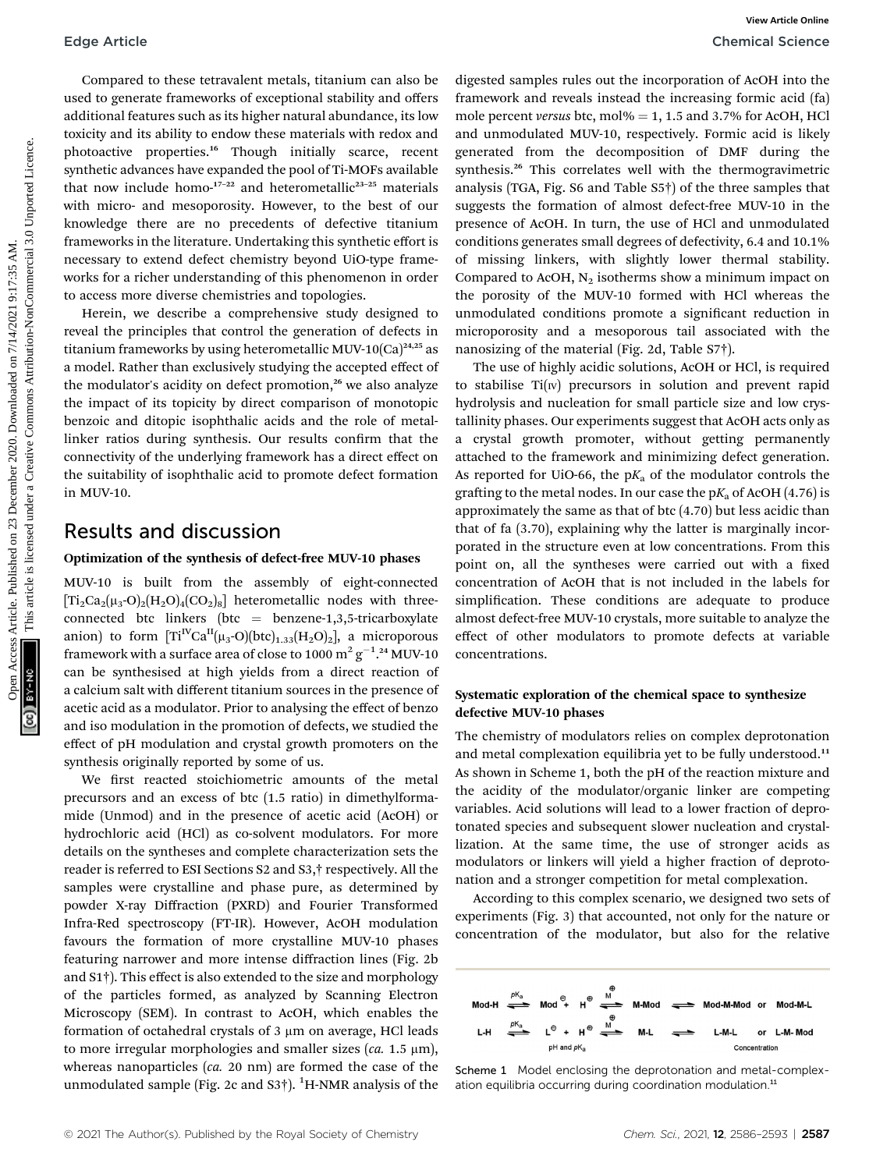Compared to these tetravalent metals, titanium can also be used to generate frameworks of exceptional stability and offers additional features such as its higher natural abundance, its low toxicity and its ability to endow these materials with redox and photoactive properties.<sup>16</sup> Though initially scarce, recent synthetic advances have expanded the pool of Ti-MOFs available that now include homo- $17-22$  and heterometallic<sup>23-25</sup> materials with micro- and mesoporosity. However, to the best of our knowledge there are no precedents of defective titanium frameworks in the literature. Undertaking this synthetic effort is necessary to extend defect chemistry beyond UiO-type frameworks for a richer understanding of this phenomenon in order to access more diverse chemistries and topologies.

Herein, we describe a comprehensive study designed to reveal the principles that control the generation of defects in titanium frameworks by using heterometallic MUV-10 $(Ca)^{24,25}$  as a model. Rather than exclusively studying the accepted effect of the modulator's acidity on defect promotion, $26$  we also analyze the impact of its topicity by direct comparison of monotopic benzoic and ditopic isophthalic acids and the role of metallinker ratios during synthesis. Our results confirm that the connectivity of the underlying framework has a direct effect on the suitability of isophthalic acid to promote defect formation in MUV-10.

### Results and discussion

#### Optimization of the synthesis of defect-free MUV-10 phases

MUV-10 is built from the assembly of eight-connected  $[Ti_2Ca_2(\mu_3-O)_2(H_2O)_4(CO_2)_8]$  heterometallic nodes with threeconnected btc linkers (btc = benzene-1,3,5-tricarboxylate anion) to form  $[Ti<sup>IV</sup>Ca<sup>II</sup>(\mu<sub>3</sub>-O)(btc)<sub>1.33</sub>(H<sub>2</sub>O)<sub>2</sub>$ , a microporous framework with a surface area of close to 1000  $\mathrm{m^2\,g^{-1}}$ .24 MUV-10 can be synthesised at high yields from a direct reaction of a calcium salt with different titanium sources in the presence of acetic acid as a modulator. Prior to analysing the effect of benzo and iso modulation in the promotion of defects, we studied the effect of pH modulation and crystal growth promoters on the synthesis originally reported by some of us.

We first reacted stoichiometric amounts of the metal precursors and an excess of btc (1.5 ratio) in dimethylformamide (Unmod) and in the presence of acetic acid (AcOH) or hydrochloric acid (HCl) as co-solvent modulators. For more details on the syntheses and complete characterization sets the reader is referred to ESI Sections S2 and S3,† respectively. All the samples were crystalline and phase pure, as determined by powder X-ray Diffraction (PXRD) and Fourier Transformed Infra-Red spectroscopy (FT-IR). However, AcOH modulation favours the formation of more crystalline MUV-10 phases featuring narrower and more intense diffraction lines (Fig. 2b and S1†). This effect is also extended to the size and morphology of the particles formed, as analyzed by Scanning Electron Microscopy (SEM). In contrast to AcOH, which enables the formation of octahedral crystals of  $3 \mu m$  on average, HCl leads to more irregular morphologies and smaller sizes  $(ca. 1.5 \mu m)$ , whereas nanoparticles (ca. 20 nm) are formed the case of the unmodulated sample (Fig. 2c and S3 $\dagger$ ).  $^1$ H-NMR analysis of the

digested samples rules out the incorporation of AcOH into the framework and reveals instead the increasing formic acid (fa) mole percent versus btc, mol% = 1, 1.5 and 3.7% for AcOH, HCl and unmodulated MUV-10, respectively. Formic acid is likely generated from the decomposition of DMF during the synthesis.<sup>26</sup> This correlates well with the thermogravimetric analysis (TGA, Fig. S6 and Table S5†) of the three samples that suggests the formation of almost defect-free MUV-10 in the presence of AcOH. In turn, the use of HCl and unmodulated conditions generates small degrees of defectivity, 6.4 and 10.1% of missing linkers, with slightly lower thermal stability. Compared to AcOH,  $N_2$  isotherms show a minimum impact on the porosity of the MUV-10 formed with HCl whereas the unmodulated conditions promote a significant reduction in microporosity and a mesoporous tail associated with the nanosizing of the material (Fig. 2d, Table S7†).

The use of highly acidic solutions, AcOH or HCl, is required to stabilise  $Ti(w)$  precursors in solution and prevent rapid hydrolysis and nucleation for small particle size and low crystallinity phases. Our experiments suggest that AcOH acts only as a crystal growth promoter, without getting permanently attached to the framework and minimizing defect generation. As reported for UiO-66, the  $pK_a$  of the modulator controls the grafting to the metal nodes. In our case the  $pK_a$  of AcOH (4.76) is approximately the same as that of btc (4.70) but less acidic than that of fa (3.70), explaining why the latter is marginally incorporated in the structure even at low concentrations. From this point on, all the syntheses were carried out with a fixed concentration of AcOH that is not included in the labels for simplification. These conditions are adequate to produce almost defect-free MUV-10 crystals, more suitable to analyze the effect of other modulators to promote defects at variable concentrations. Edge Article<br>
Compared on dues tetravalent intends, the<br>
model of the state of the control of the collection and the published on 2020 are the model in the state of the state of the state of the state of the state of the

#### Systematic exploration of the chemical space to synthesize defective MUV-10 phases

The chemistry of modulators relies on complex deprotonation and metal complexation equilibria yet to be fully understood.<sup>11</sup> As shown in Scheme 1, both the pH of the reaction mixture and the acidity of the modulator/organic linker are competing variables. Acid solutions will lead to a lower fraction of deprotonated species and subsequent slower nucleation and crystallization. At the same time, the use of stronger acids as modulators or linkers will yield a higher fraction of deprotonation and a stronger competition for metal complexation.

According to this complex scenario, we designed two sets of experiments (Fig. 3) that accounted, not only for the nature or concentration of the modulator, but also for the relative



Scheme 1 Model enclosing the deprotonation and metal-complexation equilibria occurring during coordination modulation.<sup>11</sup>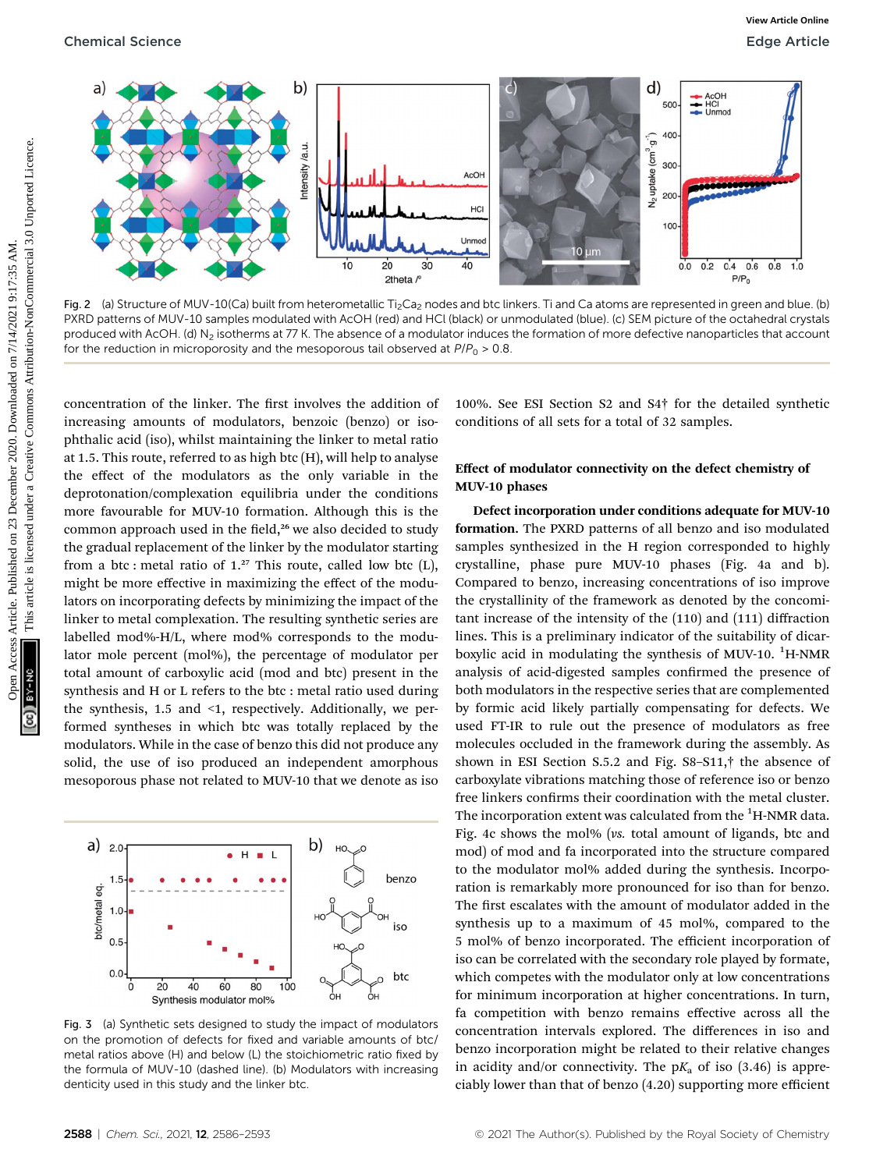

Fig. 2 (a) Structure of MUV-10(Ca) built from heterometallic Ti<sub>2</sub>Ca<sub>2</sub> nodes and btc linkers. Ti and Ca atoms are represented in green and blue. (b) PXRD patterns of MUV-10 samples modulated with AcOH (red) and HCl (black) or unmodulated (blue). (c) SEM picture of the octahedral crystals produced with AcOH. (d) N<sub>2</sub> isotherms at 77 K. The absence of a modulator induces the formation of more defective nanoparticles that account for the reduction in microporosity and the mesoporous tail observed at  $P/P_0 > 0.8$ .

concentration of the linker. The first involves the addition of increasing amounts of modulators, benzoic (benzo) or isophthalic acid (iso), whilst maintaining the linker to metal ratio at 1.5. This route, referred to as high btc (H), will help to analyse the effect of the modulators as the only variable in the deprotonation/complexation equilibria under the conditions more favourable for MUV-10 formation. Although this is the common approach used in the field,<sup>26</sup> we also decided to study the gradual replacement of the linker by the modulator starting from a btc : metal ratio of  $1.^{27}$  This route, called low btc (L), might be more effective in maximizing the effect of the modulators on incorporating defects by minimizing the impact of the linker to metal complexation. The resulting synthetic series are labelled mod%-H/L, where mod% corresponds to the modulator mole percent (mol%), the percentage of modulator per total amount of carboxylic acid (mod and btc) present in the synthesis and H or L refers to the btc : metal ratio used during the synthesis, 1.5 and <1, respectively. Additionally, we performed syntheses in which btc was totally replaced by the modulators. While in the case of benzo this did not produce any solid, the use of iso produced an independent amorphous mesoporous phase not related to MUV-10 that we denote as iso



Fig. 3 (a) Synthetic sets designed to study the impact of modulators on the promotion of defects for fixed and variable amounts of btc/ metal ratios above (H) and below (L) the stoichiometric ratio fixed by the formula of MUV-10 (dashed line). (b) Modulators with increasing denticity used in this study and the linker btc.

100%. See ESI Section S2 and S4† for the detailed synthetic conditions of all sets for a total of 32 samples.

#### Effect of modulator connectivity on the defect chemistry of MUV-10 phases

Defect incorporation under conditions adequate for MUV-10 formation. The PXRD patterns of all benzo and iso modulated samples synthesized in the H region corresponded to highly crystalline, phase pure MUV-10 phases (Fig. 4a and b). Compared to benzo, increasing concentrations of iso improve the crystallinity of the framework as denoted by the concomitant increase of the intensity of the (110) and (111) diffraction lines. This is a preliminary indicator of the suitability of dicarboxylic acid in modulating the synthesis of MUV-10. <sup>1</sup>H-NMR analysis of acid-digested samples confirmed the presence of both modulators in the respective series that are complemented by formic acid likely partially compensating for defects. We used FT-IR to rule out the presence of modulators as free molecules occluded in the framework during the assembly. As shown in ESI Section S.5.2 and Fig. S8–S11,† the absence of carboxylate vibrations matching those of reference iso or benzo free linkers confirms their coordination with the metal cluster. The incorporation extent was calculated from the  $\rm ^1H\text{-}NMR$  data. Fig. 4c shows the mol% (vs. total amount of ligands, btc and mod) of mod and fa incorporated into the structure compared to the modulator mol% added during the synthesis. Incorporation is remarkably more pronounced for iso than for benzo. The first escalates with the amount of modulator added in the synthesis up to a maximum of 45 mol%, compared to the 5 mol% of benzo incorporated. The efficient incorporation of iso can be correlated with the secondary role played by formate, which competes with the modulator only at low concentrations for minimum incorporation at higher concentrations. In turn, fa competition with benzo remains effective across all the concentration intervals explored. The differences in iso and benzo incorporation might be related to their relative changes in acidity and/or connectivity. The  $pK_a$  of iso (3.46) is appreciably lower than that of benzo (4.20) supporting more efficient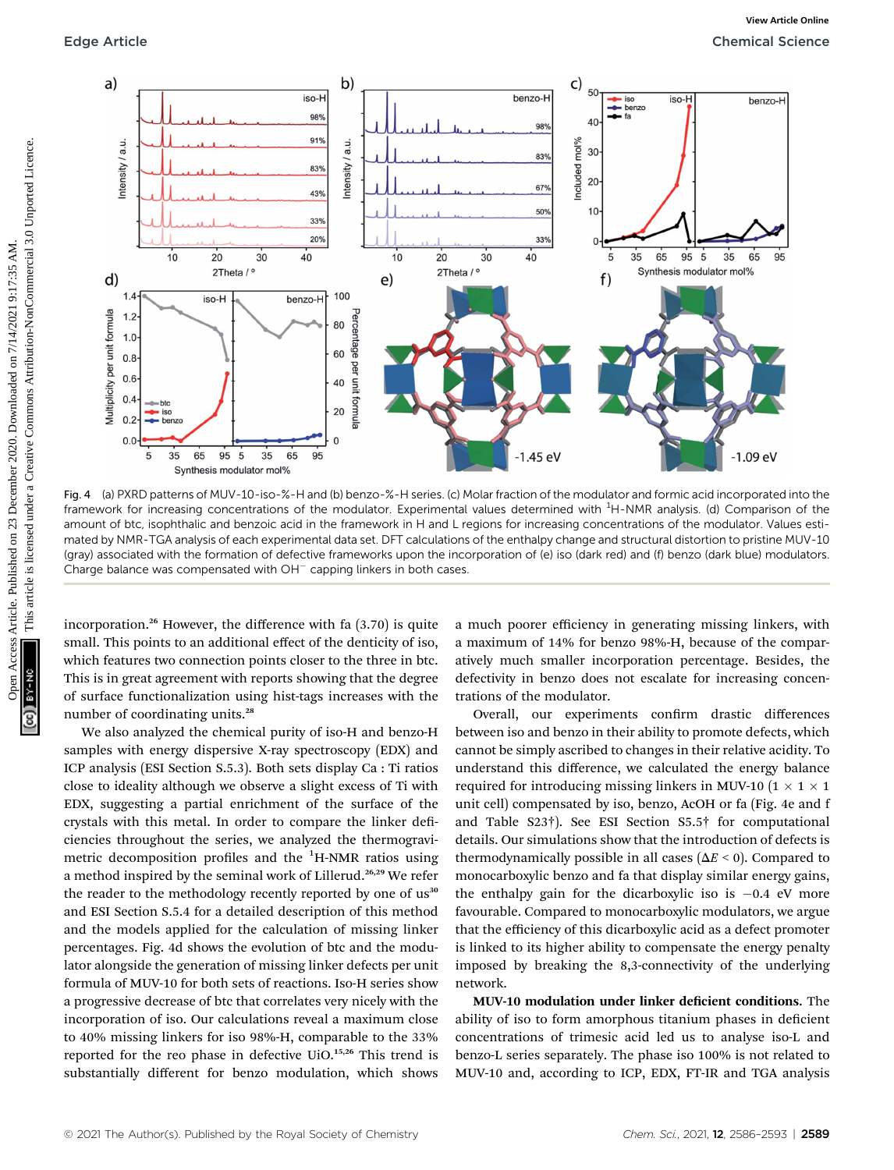

Fig. 4 (a) PXRD patterns of MUV-10-iso-%-H and (b) benzo-%-H series. (c) Molar fraction of the modulator and formic acid incorporated into the framework for increasing concentrations of the modulator. Experimental values determined with <sup>1</sup>H-NMR analysis. (d) Comparison of the amount of btc, isophthalic and benzoic acid in the framework in H and L regions for increasing concentrations of the modulator. Values estimated by NMR-TGA analysis of each experimental data set. DFT calculations of the enthalpy change and structural distortion to pristine MUV-10 (gray) associated with the formation of defective frameworks upon the incorporation of (e) iso (dark red) and (f) benzo (dark blue) modulators. Charge balance was compensated with  $OH^-$  capping linkers in both cases.

incorporation.<sup>26</sup> However, the difference with fa  $(3.70)$  is quite small. This points to an additional effect of the denticity of iso, which features two connection points closer to the three in btc. This is in great agreement with reports showing that the degree of surface functionalization using hist-tags increases with the number of coordinating units.<sup>28</sup>

We also analyzed the chemical purity of iso-H and benzo-H samples with energy dispersive X-ray spectroscopy (EDX) and ICP analysis (ESI Section S.5.3). Both sets display Ca : Ti ratios close to ideality although we observe a slight excess of Ti with EDX, suggesting a partial enrichment of the surface of the crystals with this metal. In order to compare the linker deficiencies throughout the series, we analyzed the thermogravimetric decomposition profiles and the <sup>1</sup>H-NMR ratios using a method inspired by the seminal work of Lillerud.26,29 We refer the reader to the methodology recently reported by one of us<sup>30</sup> and ESI Section S.5.4 for a detailed description of this method and the models applied for the calculation of missing linker percentages. Fig. 4d shows the evolution of btc and the modulator alongside the generation of missing linker defects per unit formula of MUV-10 for both sets of reactions. Iso-H series show a progressive decrease of btc that correlates very nicely with the incorporation of iso. Our calculations reveal a maximum close to 40% missing linkers for iso 98%-H, comparable to the 33% reported for the reo phase in defective UiO.15,26 This trend is substantially different for benzo modulation, which shows

a much poorer efficiency in generating missing linkers, with a maximum of 14% for benzo 98%-H, because of the comparatively much smaller incorporation percentage. Besides, the defectivity in benzo does not escalate for increasing concentrations of the modulator.

Overall, our experiments confirm drastic differences between iso and benzo in their ability to promote defects, which cannot be simply ascribed to changes in their relative acidity. To understand this difference, we calculated the energy balance required for introducing missing linkers in MUV-10 ( $1 \times 1 \times 1$ unit cell) compensated by iso, benzo, AcOH or fa (Fig. 4e and f and Table S23†). See ESI Section S5.5† for computational details. Our simulations show that the introduction of defects is thermodynamically possible in all cases ( $\Delta E < 0$ ). Compared to monocarboxylic benzo and fa that display similar energy gains, the enthalpy gain for the dicarboxylic iso is  $-0.4$  eV more favourable. Compared to monocarboxylic modulators, we argue that the efficiency of this dicarboxylic acid as a defect promoter is linked to its higher ability to compensate the energy penalty imposed by breaking the 8,3-connectivity of the underlying network.

MUV-10 modulation under linker deficient conditions. The ability of iso to form amorphous titanium phases in deficient concentrations of trimesic acid led us to analyse iso-L and benzo-L series separately. The phase iso 100% is not related to MUV-10 and, according to ICP, EDX, FT-IR and TGA analysis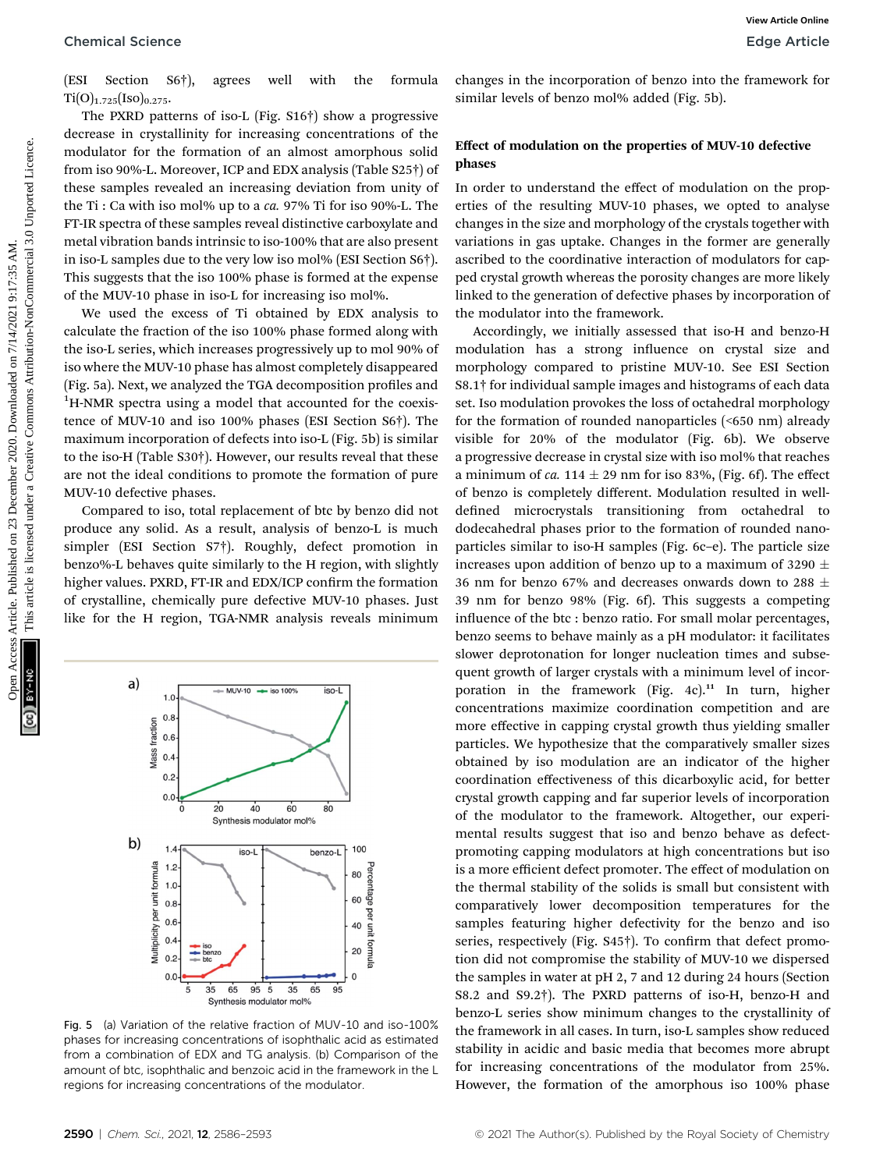#### Chemical Science **Edge Article**

(ESI Section S6†), agrees well with the formula  $Ti(O)_{1.725}$ [Iso]<sub>0.275</sub>.

The PXRD patterns of iso-L (Fig. S16†) show a progressive decrease in crystallinity for increasing concentrations of the modulator for the formation of an almost amorphous solid from iso 90%-L. Moreover, ICP and EDX analysis (Table S25†) of these samples revealed an increasing deviation from unity of the Ti : Ca with iso mol% up to a ca. 97% Ti for iso 90%-L. The FT-IR spectra of these samples reveal distinctive carboxylate and metal vibration bands intrinsic to iso-100% that are also present in iso-L samples due to the very low iso mol% (ESI Section S6†). This suggests that the iso 100% phase is formed at the expense of the MUV-10 phase in iso-L for increasing iso mol%.

We used the excess of Ti obtained by EDX analysis to calculate the fraction of the iso 100% phase formed along with the iso-L series, which increases progressively up to mol 90% of iso where the MUV-10 phase has almost completely disappeared (Fig. 5a). Next, we analyzed the TGA decomposition profiles and <sup>1</sup>H-NMR spectra using a model that accounted for the coexistence of MUV-10 and iso 100% phases (ESI Section S6†). The maximum incorporation of defects into iso-L (Fig. 5b) is similar to the iso-H (Table S30†). However, our results reveal that these are not the ideal conditions to promote the formation of pure MUV-10 defective phases.

Compared to iso, total replacement of btc by benzo did not produce any solid. As a result, analysis of benzo-L is much simpler (ESI Section S7†). Roughly, defect promotion in benzo%-L behaves quite similarly to the H region, with slightly higher values. PXRD, FT-IR and EDX/ICP confirm the formation of crystalline, chemically pure defective MUV-10 phases. Just like for the H region, TGA-NMR analysis reveals minimum



Fig. 5 (a) Variation of the relative fraction of MUV-10 and iso-100% phases for increasing concentrations of isophthalic acid as estimated from a combination of EDX and TG analysis. (b) Comparison of the amount of btc, isophthalic and benzoic acid in the framework in the L regions for increasing concentrations of the modulator.

changes in the incorporation of benzo into the framework for similar levels of benzo mol% added (Fig. 5b).

#### Effect of modulation on the properties of MUV-10 defective phases

In order to understand the effect of modulation on the properties of the resulting MUV-10 phases, we opted to analyse changes in the size and morphology of the crystals together with variations in gas uptake. Changes in the former are generally ascribed to the coordinative interaction of modulators for capped crystal growth whereas the porosity changes are more likely linked to the generation of defective phases by incorporation of the modulator into the framework.

Accordingly, we initially assessed that iso-H and benzo-H modulation has a strong influence on crystal size and morphology compared to pristine MUV-10. See ESI Section S8.1† for individual sample images and histograms of each data set. Iso modulation provokes the loss of octahedral morphology for the formation of rounded nanoparticles (<650 nm) already visible for 20% of the modulator (Fig. 6b). We observe a progressive decrease in crystal size with iso mol% that reaches a minimum of ca. 114  $\pm$  29 nm for iso 83%, (Fig. 6f). The effect of benzo is completely different. Modulation resulted in welldefined microcrystals transitioning from octahedral to dodecahedral phases prior to the formation of rounded nanoparticles similar to iso-H samples (Fig. 6c–e). The particle size increases upon addition of benzo up to a maximum of 3290  $\pm$ 36 nm for benzo 67% and decreases onwards down to 288  $\pm$ 39 nm for benzo 98% (Fig. 6f). This suggests a competing influence of the btc : benzo ratio. For small molar percentages, benzo seems to behave mainly as a pH modulator: it facilitates slower deprotonation for longer nucleation times and subsequent growth of larger crystals with a minimum level of incorporation in the framework (Fig.  $4c$ ).<sup>11</sup> In turn, higher concentrations maximize coordination competition and are more effective in capping crystal growth thus yielding smaller particles. We hypothesize that the comparatively smaller sizes obtained by iso modulation are an indicator of the higher coordination effectiveness of this dicarboxylic acid, for better crystal growth capping and far superior levels of incorporation of the modulator to the framework. Altogether, our experimental results suggest that iso and benzo behave as defectpromoting capping modulators at high concentrations but iso is a more efficient defect promoter. The effect of modulation on the thermal stability of the solids is small but consistent with comparatively lower decomposition temperatures for the samples featuring higher defectivity for the benzo and iso series, respectively (Fig.  $S45\dagger$ ). To confirm that defect promotion did not compromise the stability of MUV-10 we dispersed the samples in water at pH 2, 7 and 12 during 24 hours (Section S8.2 and S9.2†). The PXRD patterns of iso-H, benzo-H and benzo-L series show minimum changes to the crystallinity of the framework in all cases. In turn, iso-L samples show reduced stability in acidic and basic media that becomes more abrupt for increasing concentrations of the modulator from 25%. However, the formation of the amorphous iso 100% phase Chemical Science<br>
(Ext. Script), agrees well with the formula changes in the incorporation of benzo more and the formula common<br>
or from the published on 2011 and a since a method of the formula telescopies and the proper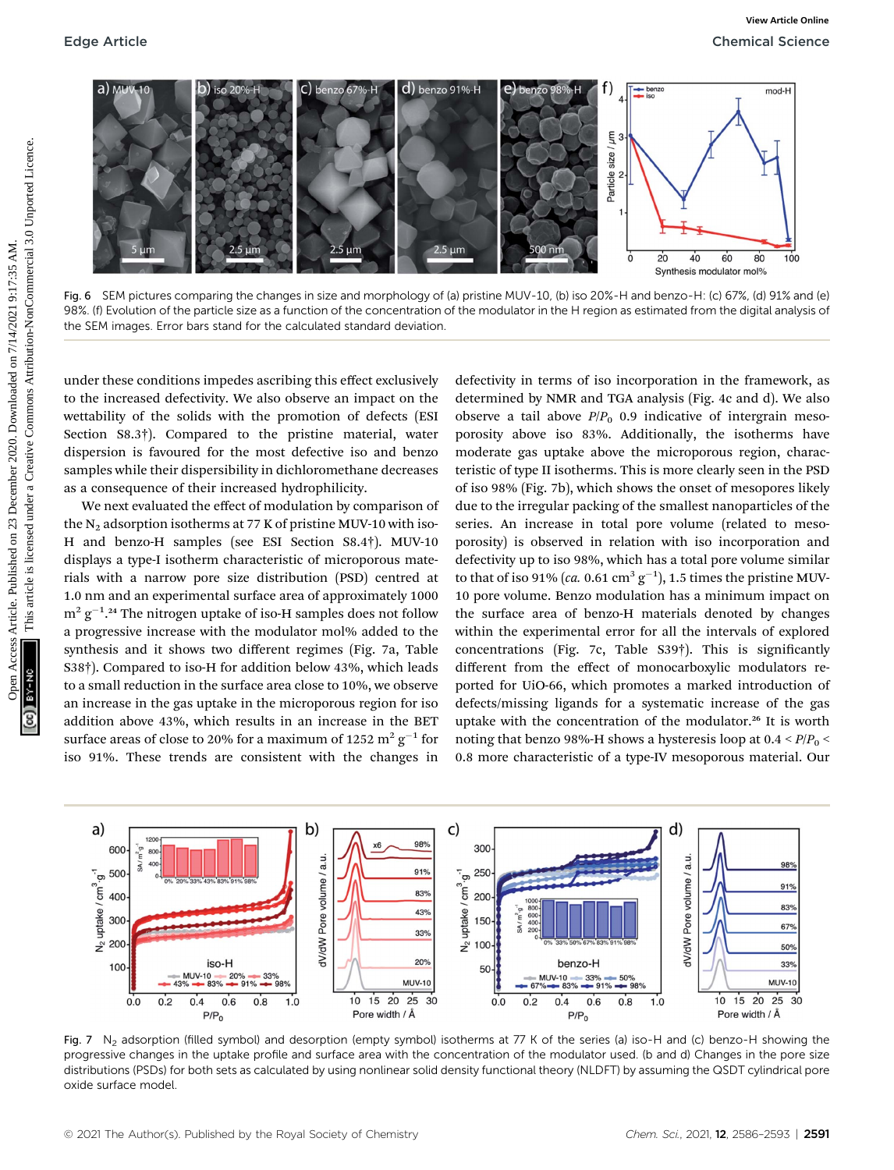

Fig. 6 SEM pictures comparing the changes in size and morphology of (a) pristine MUV-10, (b) iso 20%-H and benzo-H: (c) 67%, (d) 91% and (e) 98%. (f) Evolution of the particle size as a function of the concentration of the modulator in the H region as estimated from the digital analysis of the SEM images. Error bars stand for the calculated standard deviation.

under these conditions impedes ascribing this effect exclusively to the increased defectivity. We also observe an impact on the wettability of the solids with the promotion of defects (ESI Section S8.3†). Compared to the pristine material, water dispersion is favoured for the most defective iso and benzo samples while their dispersibility in dichloromethane decreases as a consequence of their increased hydrophilicity.

We next evaluated the effect of modulation by comparison of the  $N_2$  adsorption isotherms at 77 K of pristine MUV-10 with iso-H and benzo-H samples (see ESI Section S8.4†). MUV-10 displays a type-I isotherm characteristic of microporous materials with a narrow pore size distribution (PSD) centred at 1.0 nm and an experimental surface area of approximately 1000  $\mathrm{m}^{2}\,\mathrm{g}^{-1}$ .24 The nitrogen uptake of iso-H samples does not follow a progressive increase with the modulator mol% added to the synthesis and it shows two different regimes (Fig. 7a, Table S38†). Compared to iso-H for addition below 43%, which leads to a small reduction in the surface area close to 10%, we observe an increase in the gas uptake in the microporous region for iso addition above 43%, which results in an increase in the BET surface areas of close to 20% for a maximum of 1252  $\mathrm{m^{2}\,g^{-1}}$  for iso 91%. These trends are consistent with the changes in

defectivity in terms of iso incorporation in the framework, as determined by NMR and TGA analysis (Fig. 4c and d). We also observe a tail above  $P/P_0$  0.9 indicative of intergrain mesoporosity above iso 83%. Additionally, the isotherms have moderate gas uptake above the microporous region, characteristic of type II isotherms. This is more clearly seen in the PSD of iso 98% (Fig. 7b), which shows the onset of mesopores likely due to the irregular packing of the smallest nanoparticles of the series. An increase in total pore volume (related to mesoporosity) is observed in relation with iso incorporation and defectivity up to iso 98%, which has a total pore volume similar to that of iso 91% (ca. 0.61  $\text{cm}^3 \text{ g}^{-1}$ ), 1.5 times the pristine MUV-10 pore volume. Benzo modulation has a minimum impact on the surface area of benzo-H materials denoted by changes within the experimental error for all the intervals of explored concentrations (Fig. 7c, Table S39†). This is significantly different from the effect of monocarboxylic modulators reported for UiO-66, which promotes a marked introduction of defects/missing ligands for a systematic increase of the gas uptake with the concentration of the modulator.<sup>26</sup> It is worth noting that benzo 98%-H shows a hysteresis loop at  $0.4 < P/P_0 <$ 0.8 more characteristic of a type-IV mesoporous material. Our



Fig. 7 N<sub>2</sub> adsorption (filled symbol) and desorption (empty symbol) isotherms at 77 K of the series (a) iso-H and (c) benzo-H showing the progressive changes in the uptake profile and surface area with the concentration of the modulator used. (b and d) Changes in the pore size distributions (PSDs) for both sets as calculated by using nonlinear solid density functional theory (NLDFT) by assuming the QSDT cylindrical pore oxide surface model.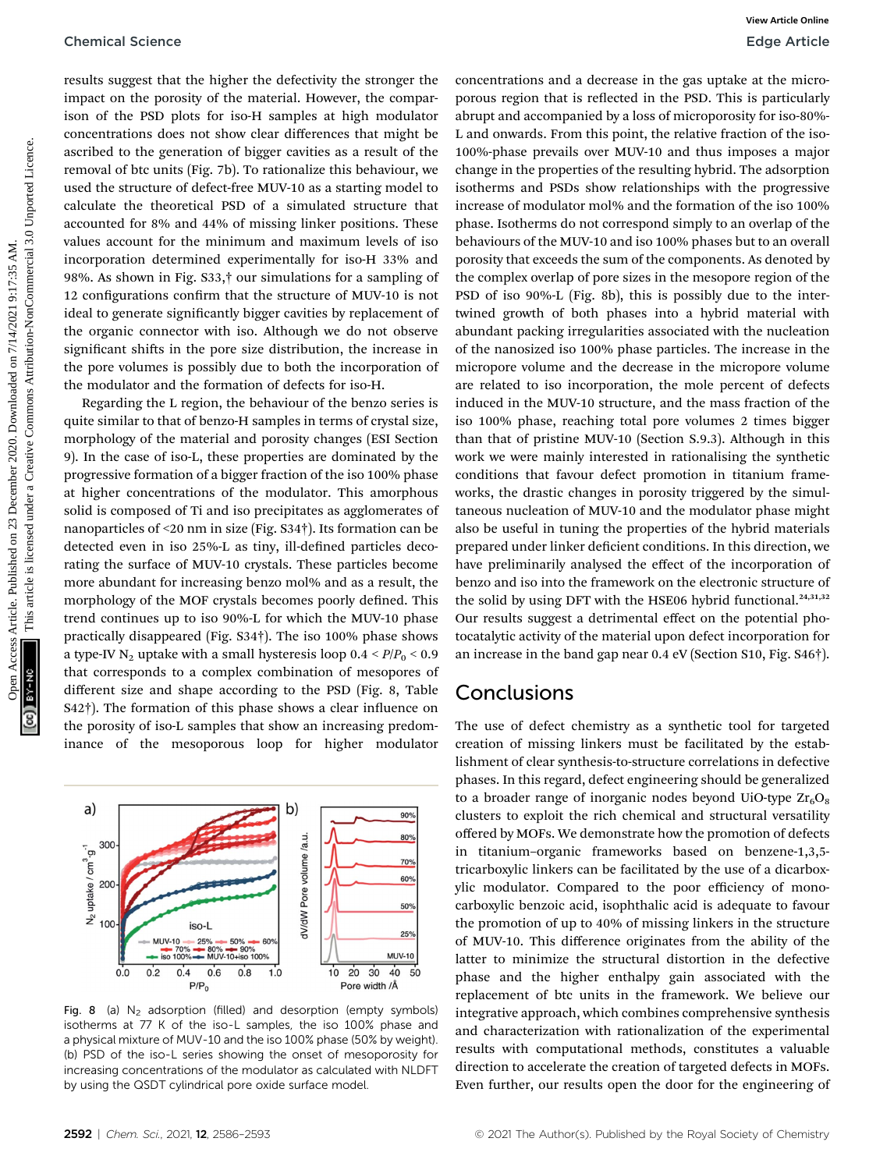results suggest that the higher the defectivity the stronger the impact on the porosity of the material. However, the comparison of the PSD plots for iso-H samples at high modulator concentrations does not show clear differences that might be ascribed to the generation of bigger cavities as a result of the removal of btc units (Fig. 7b). To rationalize this behaviour, we used the structure of defect-free MUV-10 as a starting model to calculate the theoretical PSD of a simulated structure that accounted for 8% and 44% of missing linker positions. These values account for the minimum and maximum levels of iso incorporation determined experimentally for iso-H 33% and 98%. As shown in Fig. S33,† our simulations for a sampling of 12 configurations confirm that the structure of MUV-10 is not ideal to generate significantly bigger cavities by replacement of the organic connector with iso. Although we do not observe significant shifts in the pore size distribution, the increase in the pore volumes is possibly due to both the incorporation of the modulator and the formation of defects for iso-H.

Regarding the L region, the behaviour of the benzo series is quite similar to that of benzo-H samples in terms of crystal size, morphology of the material and porosity changes (ESI Section 9). In the case of iso-L, these properties are dominated by the progressive formation of a bigger fraction of the iso 100% phase at higher concentrations of the modulator. This amorphous solid is composed of Ti and iso precipitates as agglomerates of nanoparticles of <20 nm in size (Fig. S34†). Its formation can be detected even in iso 25%-L as tiny, ill-defined particles decorating the surface of MUV-10 crystals. These particles become more abundant for increasing benzo mol% and as a result, the morphology of the MOF crystals becomes poorly defined. This trend continues up to iso 90%-L for which the MUV-10 phase practically disappeared (Fig. S34†). The iso 100% phase shows a type-IV N<sub>2</sub> uptake with a small hysteresis loop  $0.4 < P/P_0 < 0.9$ that corresponds to a complex combination of mesopores of different size and shape according to the PSD (Fig. 8, Table  $S42\dagger$ ). The formation of this phase shows a clear influence on the porosity of iso-L samples that show an increasing predominance of the mesoporous loop for higher modulator



Fig. 8 (a)  $N<sub>2</sub>$  adsorption (filled) and desorption (empty symbols) isotherms at 77 K of the iso-L samples, the iso 100% phase and a physical mixture of MUV-10 and the iso 100% phase (50% by weight). (b) PSD of the iso-L series showing the onset of mesoporosity for increasing concentrations of the modulator as calculated with NLDFT by using the QSDT cylindrical pore oxide surface model.

concentrations and a decrease in the gas uptake at the microporous region that is reflected in the PSD. This is particularly abrupt and accompanied by a loss of microporosity for iso-80%- L and onwards. From this point, the relative fraction of the iso-100%-phase prevails over MUV-10 and thus imposes a major change in the properties of the resulting hybrid. The adsorption isotherms and PSDs show relationships with the progressive increase of modulator mol% and the formation of the iso 100% phase. Isotherms do not correspond simply to an overlap of the behaviours of the MUV-10 and iso 100% phases but to an overall porosity that exceeds the sum of the components. As denoted by the complex overlap of pore sizes in the mesopore region of the PSD of iso 90%-L (Fig. 8b), this is possibly due to the intertwined growth of both phases into a hybrid material with abundant packing irregularities associated with the nucleation of the nanosized iso 100% phase particles. The increase in the micropore volume and the decrease in the micropore volume are related to iso incorporation, the mole percent of defects induced in the MUV-10 structure, and the mass fraction of the iso 100% phase, reaching total pore volumes 2 times bigger than that of pristine MUV-10 (Section S.9.3). Although in this work we were mainly interested in rationalising the synthetic conditions that favour defect promotion in titanium frameworks, the drastic changes in porosity triggered by the simultaneous nucleation of MUV-10 and the modulator phase might also be useful in tuning the properties of the hybrid materials prepared under linker deficient conditions. In this direction, we have preliminarily analysed the effect of the incorporation of benzo and iso into the framework on the electronic structure of the solid by using DFT with the HSE06 hybrid functional.<sup>24,31,32</sup> Our results suggest a detrimental effect on the potential photocatalytic activity of the material upon defect incorporation for an increase in the band gap near 0.4 eV (Section S10, Fig. S46†). Chemical Science<br>
Chemical Sciences Article. Published on 23 December 2020. Download a decrease are made to the method of the gradient on the properties of the common access are entired to the gradient on the gradient on

## Conclusions

The use of defect chemistry as a synthetic tool for targeted creation of missing linkers must be facilitated by the establishment of clear synthesis-to-structure correlations in defective phases. In this regard, defect engineering should be generalized to a broader range of inorganic nodes beyond UiO-type  $Zr<sub>6</sub>O<sub>8</sub>$ clusters to exploit the rich chemical and structural versatility offered by MOFs. We demonstrate how the promotion of defects in titanium–organic frameworks based on benzene-1,3,5 tricarboxylic linkers can be facilitated by the use of a dicarboxylic modulator. Compared to the poor efficiency of monocarboxylic benzoic acid, isophthalic acid is adequate to favour the promotion of up to 40% of missing linkers in the structure of MUV-10. This difference originates from the ability of the latter to minimize the structural distortion in the defective phase and the higher enthalpy gain associated with the replacement of btc units in the framework. We believe our integrative approach, which combines comprehensive synthesis and characterization with rationalization of the experimental results with computational methods, constitutes a valuable direction to accelerate the creation of targeted defects in MOFs. Even further, our results open the door for the engineering of